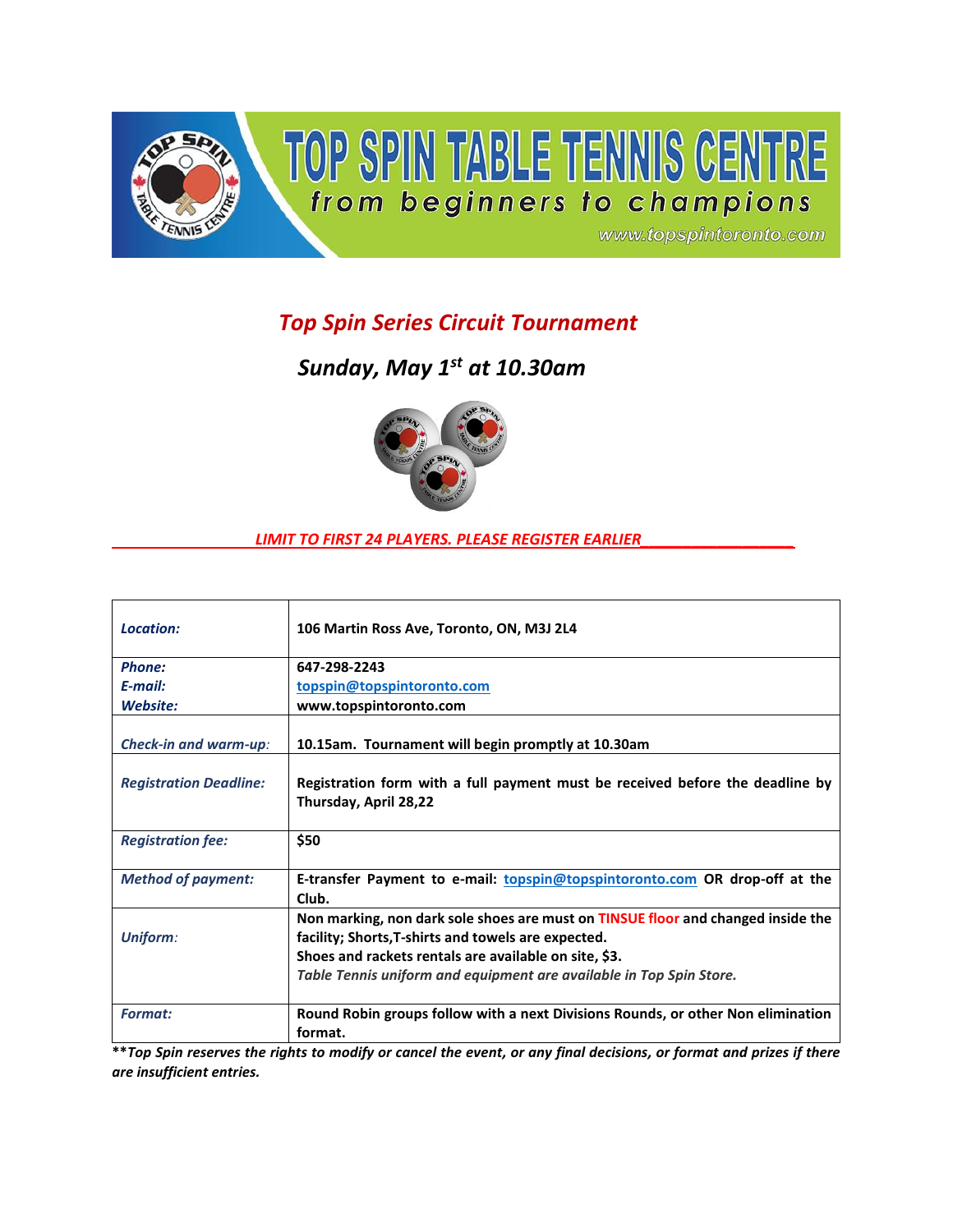

## *Top Spin Series Circuit Tournament*

*Sunday, May 1st at 10.30am*



## *LIMIT TO FIRST 24 PLAYERS. PLEASE REGISTER EARLIER\_\_\_\_\_\_\_\_\_\_\_\_\_\_\_\_\_\_*

| Location:                     | 106 Martin Ross Ave, Toronto, ON, M3J 2L4                                                                                                                                                                                                                               |
|-------------------------------|-------------------------------------------------------------------------------------------------------------------------------------------------------------------------------------------------------------------------------------------------------------------------|
| Phone:                        | 647-298-2243                                                                                                                                                                                                                                                            |
| $E$ -mail:                    | topspin@topspintoronto.com                                                                                                                                                                                                                                              |
| Website:                      | www.topspintoronto.com                                                                                                                                                                                                                                                  |
| <b>Check-in and warm-up:</b>  | 10.15am. Tournament will begin promptly at 10.30am                                                                                                                                                                                                                      |
| <b>Registration Deadline:</b> | Registration form with a full payment must be received before the deadline by<br>Thursday, April 28,22                                                                                                                                                                  |
| <b>Registration fee:</b>      | \$50                                                                                                                                                                                                                                                                    |
| <b>Method of payment:</b>     | E-transfer Payment to e-mail: <b>topspin@topspintoronto.com</b> OR drop-off at the<br>Club.                                                                                                                                                                             |
| <b>Uniform:</b>               | Non marking, non dark sole shoes are must on TINSUE floor and changed inside the<br>facility; Shorts, T-shirts and towels are expected.<br>Shoes and rackets rentals are available on site, \$3.<br>Table Tennis uniform and equipment are available in Top Spin Store. |
| <b>Format:</b>                | Round Robin groups follow with a next Divisions Rounds, or other Non elimination<br>format.                                                                                                                                                                             |

**\*\****Top Spin reserves the rights to modify or cancel the event, or any final decisions, or format and prizes if there are insufficient entries.*